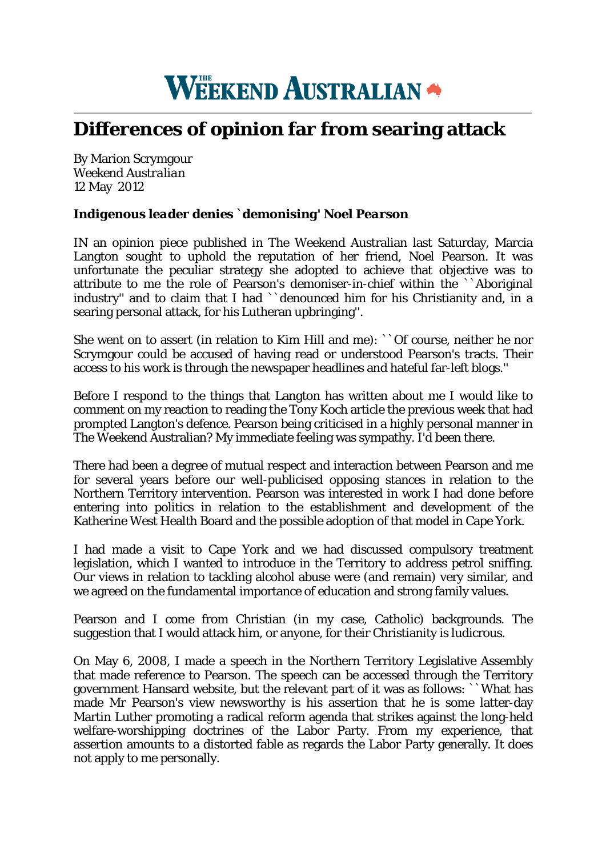## **WEEKEND AUSTRALIAN \***

## **Differences of opinion far from searing attack**

By Marion Scrymgour *Weekend Australian* 12 May 2012

## *Indigenous leader denies `demonising' Noel Pearson*

IN an opinion piece published in The Weekend Australian last Saturday, Marcia Langton sought to uphold the reputation of her friend, Noel Pearson. It was unfortunate the peculiar strategy she adopted to achieve that objective was to attribute to me the role of Pearson's demoniser-in-chief within the ``Aboriginal industry'' and to claim that I had ``denounced him for his Christianity and, in a searing personal attack, for his Lutheran upbringing''.

She went on to assert (in relation to Kim Hill and me): ``Of course, neither he nor Scrymgour could be accused of having read or understood Pearson's tracts. Their access to his work is through the newspaper headlines and hateful far-left blogs.''

Before I respond to the things that Langton has written about me I would like to comment on my reaction to reading the Tony Koch article the previous week that had prompted Langton's defence. Pearson being criticised in a highly personal manner in The Weekend Australian? My immediate feeling was sympathy. I'd been there.

There had been a degree of mutual respect and interaction between Pearson and me for several years before our well-publicised opposing stances in relation to the Northern Territory intervention. Pearson was interested in work I had done before entering into politics in relation to the establishment and development of the Katherine West Health Board and the possible adoption of that model in Cape York.

I had made a visit to Cape York and we had discussed compulsory treatment legislation, which I wanted to introduce in the Territory to address petrol sniffing. Our views in relation to tackling alcohol abuse were (and remain) very similar, and we agreed on the fundamental importance of education and strong family values.

Pearson and I come from Christian (in my case, Catholic) backgrounds. The suggestion that I would attack him, or anyone, for their Christianity is ludicrous.

On May 6, 2008, I made a speech in the Northern Territory Legislative Assembly that made reference to Pearson. The speech can be accessed through the Territory government Hansard website, but the relevant part of it was as follows: ``What has made Mr Pearson's view newsworthy is his assertion that he is some latter-day Martin Luther promoting a radical reform agenda that strikes against the long-held welfare-worshipping doctrines of the Labor Party. From my experience, that assertion amounts to a distorted fable as regards the Labor Party generally. It does not apply to me personally.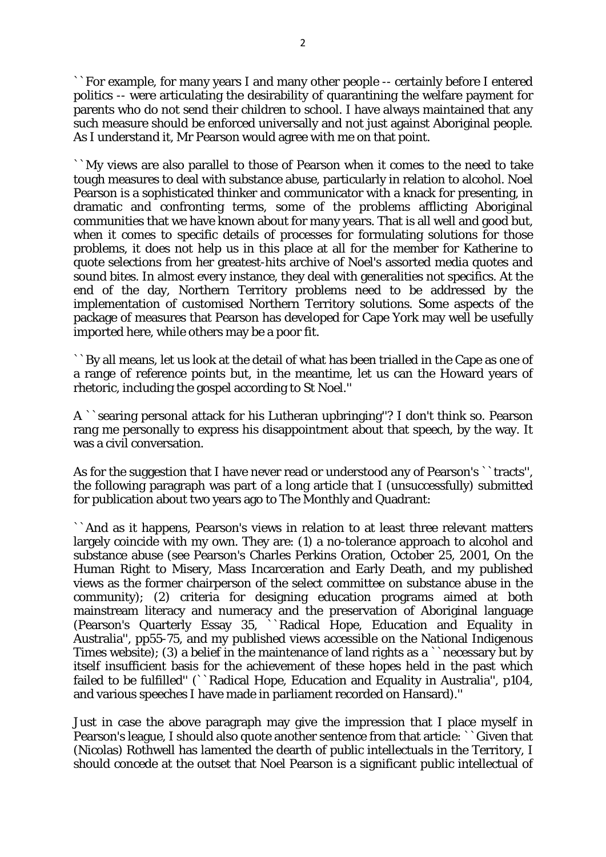``For example, for many years I and many other people -- certainly before I entered politics -- were articulating the desirability of quarantining the welfare payment for parents who do not send their children to school. I have always maintained that any such measure should be enforced universally and not just against Aboriginal people. As I understand it, Mr Pearson would agree with me on that point.

``My views are also parallel to those of Pearson when it comes to the need to take tough measures to deal with substance abuse, particularly in relation to alcohol. Noel Pearson is a sophisticated thinker and communicator with a knack for presenting, in dramatic and confronting terms, some of the problems afflicting Aboriginal communities that we have known about for many years. That is all well and good but, when it comes to specific details of processes for formulating solutions for those problems, it does not help us in this place at all for the member for Katherine to quote selections from her greatest-hits archive of Noel's assorted media quotes and sound bites. In almost every instance, they deal with generalities not specifics. At the end of the day, Northern Territory problems need to be addressed by the implementation of customised Northern Territory solutions. Some aspects of the package of measures that Pearson has developed for Cape York may well be usefully imported here, while others may be a poor fit.

``By all means, let us look at the detail of what has been trialled in the Cape as one of a range of reference points but, in the meantime, let us can the Howard years of rhetoric, including the gospel according to St Noel.''

A ``searing personal attack for his Lutheran upbringing''? I don't think so. Pearson rang me personally to express his disappointment about that speech, by the way. It was a civil conversation.

As for the suggestion that I have never read or understood any of Pearson's ``tracts'', the following paragraph was part of a long article that I (unsuccessfully) submitted for publication about two years ago to The Monthly and Quadrant:

``And as it happens, Pearson's views in relation to at least three relevant matters largely coincide with my own. They are: (1) a no-tolerance approach to alcohol and substance abuse (see Pearson's Charles Perkins Oration, October 25, 2001, On the Human Right to Misery, Mass Incarceration and Early Death, and my published views as the former chairperson of the select committee on substance abuse in the community); (2) criteria for designing education programs aimed at both mainstream literacy and numeracy and the preservation of Aboriginal language (Pearson's Quarterly Essay 35, ``Radical Hope, Education and Equality in Australia'', pp55-75, and my published views accessible on the National Indigenous Times website); (3) a belief in the maintenance of land rights as a ``necessary but by itself insufficient basis for the achievement of these hopes held in the past which failed to be fulfilled'' (``Radical Hope, Education and Equality in Australia'', p104, and various speeches I have made in parliament recorded on Hansard).''

Just in case the above paragraph may give the impression that I place myself in Pearson's league, I should also quote another sentence from that article: ``Given that (Nicolas) Rothwell has lamented the dearth of public intellectuals in the Territory, I should concede at the outset that Noel Pearson is a significant public intellectual of